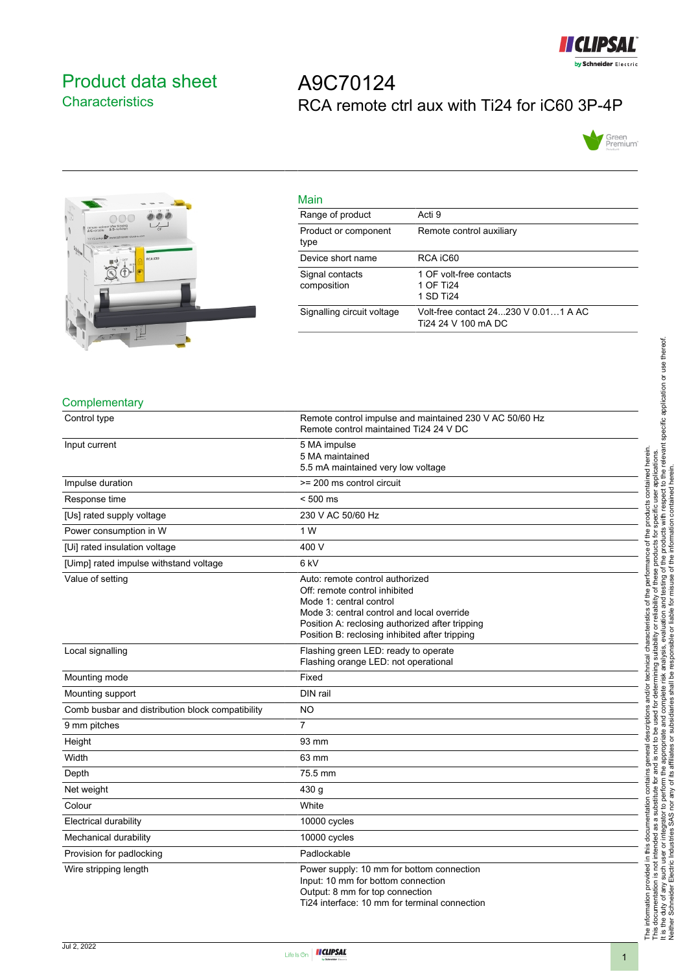

## <span id="page-0-0"></span>Product data sheet **Characteristics**

# A9C70124 RCA remote ctrl aux with Ti24 for iC60 3P-4P





| Main                           |                                                               |
|--------------------------------|---------------------------------------------------------------|
| Range of product               | Acti 9                                                        |
| Product or component<br>type   | Remote control auxiliary                                      |
| Device short name              | RCA iC60                                                      |
| Signal contacts<br>composition | 1 OF volt-free contacts<br>1 OF Ti <sub>24</sub><br>1 SD Ti24 |
| Signalling circuit voltage     | Volt-free contact 24 230 V 0 01 1 A AC<br>Ti24 24 V 100 mA DC |

#### **Complementary**

| Control type                                     | Remote control impulse and maintained 230 V AC 50/60 Hz<br>Remote control maintained Ti24 24 V DC                                                                                                                                              |
|--------------------------------------------------|------------------------------------------------------------------------------------------------------------------------------------------------------------------------------------------------------------------------------------------------|
| Input current                                    | 5 MA impulse<br>5 MA maintained<br>5.5 mA maintained very low voltage                                                                                                                                                                          |
| Impulse duration                                 | >= 200 ms control circuit                                                                                                                                                                                                                      |
| Response time                                    | $< 500$ ms                                                                                                                                                                                                                                     |
| [Us] rated supply voltage                        | 230 V AC 50/60 Hz                                                                                                                                                                                                                              |
| Power consumption in W                           | 1 W                                                                                                                                                                                                                                            |
| [Ui] rated insulation voltage                    | 400 V                                                                                                                                                                                                                                          |
| [Uimp] rated impulse withstand voltage           | 6 <sub>kV</sub>                                                                                                                                                                                                                                |
| Value of setting                                 | Auto: remote control authorized<br>Off: remote control inhibited<br>Mode 1: central control<br>Mode 3: central control and local override<br>Position A: reclosing authorized after tripping<br>Position B: reclosing inhibited after tripping |
| Local signalling                                 | Flashing green LED: ready to operate<br>Flashing orange LED: not operational                                                                                                                                                                   |
| Mounting mode                                    | Fixed                                                                                                                                                                                                                                          |
| Mounting support                                 | DIN rail                                                                                                                                                                                                                                       |
| Comb busbar and distribution block compatibility | <b>NO</b>                                                                                                                                                                                                                                      |
| 9 mm pitches                                     | $\overline{7}$                                                                                                                                                                                                                                 |
| Height                                           | 93 mm                                                                                                                                                                                                                                          |
| Width                                            | 63 mm                                                                                                                                                                                                                                          |
| Depth                                            | 75.5 mm                                                                                                                                                                                                                                        |
| Net weight                                       | 430 g                                                                                                                                                                                                                                          |
| Colour                                           | White                                                                                                                                                                                                                                          |
| <b>Electrical durability</b>                     | 10000 cycles                                                                                                                                                                                                                                   |
| Mechanical durability                            | 10000 cycles                                                                                                                                                                                                                                   |
| Provision for padlocking                         | Padlockable                                                                                                                                                                                                                                    |
| Wire stripping length                            | Power supply: 10 mm for bottom connection<br>Input: 10 mm for bottom connection<br>Output: 8 mm for top connection<br>Ti24 interface: 10 mm for terminal connection                                                                            |